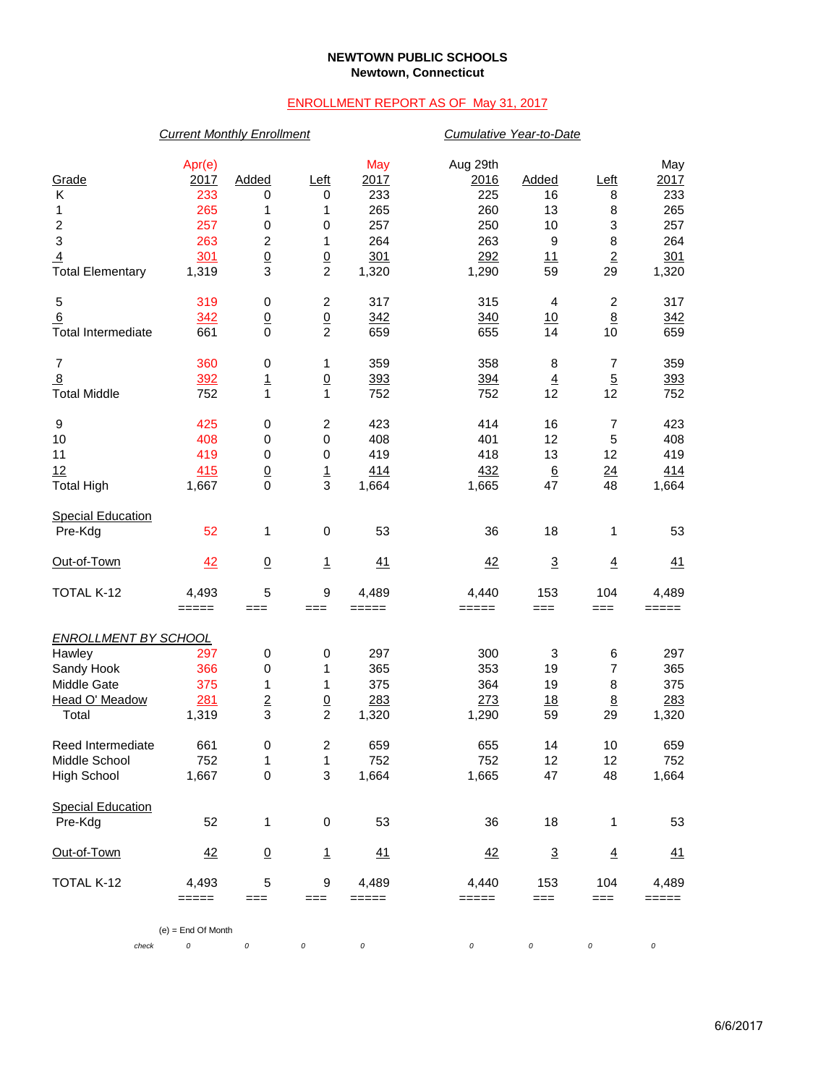### **NEWTOWN PUBLIC SCHOOLS Newtown, Connecticut**

## ENROLLMENT REPORT AS OF May 31, 2017

## *Current Monthly Enrollment Cumulative Year-to-Date*

| Grade<br>Κ<br>1<br>$\boldsymbol{2}$<br>$\ensuremath{\mathsf{3}}$<br>$\overline{4}$<br><b>Total Elementary</b> | Apr(e)<br>2017<br>233<br>265<br>257<br>263<br>301<br>1,319 | Added<br>0<br>1<br>0<br>2<br>$\underline{0}$<br>3 | <u>Left</u><br>0<br>1<br>0<br>1<br>$\underline{0}$<br>$\overline{c}$ | May<br>2017<br>233<br>265<br>257<br>264<br>301<br>1,320 | Aug 29th<br>2016<br>225<br>260<br>250<br>263<br>292<br>1,290 | Added<br>16<br>13<br>10<br>9<br>11<br>59 | Left<br>8<br>8<br>$\ensuremath{\mathsf{3}}$<br>8<br>$\underline{2}$<br>29 | May<br>2017<br>233<br>265<br>257<br>264<br>301<br>1,320 |  |  |  |
|---------------------------------------------------------------------------------------------------------------|------------------------------------------------------------|---------------------------------------------------|----------------------------------------------------------------------|---------------------------------------------------------|--------------------------------------------------------------|------------------------------------------|---------------------------------------------------------------------------|---------------------------------------------------------|--|--|--|
| 5<br>6<br><b>Total Intermediate</b>                                                                           | 319<br>342<br>661                                          | 0<br>$\overline{0}$<br>$\mathbf 0$                | $\boldsymbol{2}$<br>$\overline{0}$<br>$\overline{2}$                 | 317<br>342<br>659                                       | 315<br>340<br>655                                            | 4<br>10<br>14                            | $\boldsymbol{2}$<br>8<br>10                                               | 317<br>342<br>659                                       |  |  |  |
| $\overline{7}$<br>$\frac{8}{2}$<br><b>Total Middle</b>                                                        | 360<br>392<br>752                                          | 0<br>$\overline{1}$<br>1                          | 1<br>$\underline{0}$<br>$\mathbf{1}$                                 | 359<br>393<br>752                                       | 358<br>394<br>752                                            | 8<br>$\overline{4}$<br>12                | $\boldsymbol{7}$<br>$\overline{5}$<br>12                                  | 359<br>393<br>752                                       |  |  |  |
| 9<br>10<br>11<br>12<br><b>Total High</b>                                                                      | 425<br>408<br>419<br>415<br>1,667                          | 0<br>0<br>0<br>$\underline{0}$<br>$\mathbf 0$     | $\boldsymbol{2}$<br>$\,0\,$<br>$\,0\,$<br>$\overline{1}$<br>3        | 423<br>408<br>419<br>414<br>1,664                       | 414<br>401<br>418<br>432<br>1,665                            | 16<br>12<br>13<br>$6\overline{6}$<br>47  | $\overline{7}$<br>5<br>12<br>$\frac{24}{1}$<br>48                         | 423<br>408<br>419<br>414<br>1,664                       |  |  |  |
| <b>Special Education</b><br>Pre-Kdg                                                                           | 52                                                         | 1                                                 | $\pmb{0}$                                                            | 53                                                      | 36                                                           | 18                                       | 1                                                                         | 53                                                      |  |  |  |
| Out-of-Town                                                                                                   | 42                                                         | $\overline{0}$                                    | $\mathbf{1}$                                                         | 41                                                      | 42                                                           | $\mathbf 3$                              | $\underline{4}$                                                           | 41                                                      |  |  |  |
| TOTAL K-12                                                                                                    | 4,493<br>$=====$                                           | 5<br>$==$                                         | $\boldsymbol{9}$<br>$==$                                             | 4,489<br>$=====$                                        | 4,440<br>$=====$                                             | 153<br>$==$                              | 104<br>$==$                                                               | 4,489<br>$=====$                                        |  |  |  |
| <b>ENROLLMENT BY SCHOOL</b><br>Hawley<br>Sandy Hook<br>Middle Gate<br>Head O' Meadow<br>Total                 | 297<br>366<br>375<br>281<br>1,319                          | 0<br>0<br>1<br>$\overline{2}$<br>3                | 0<br>1<br>1<br>$\overline{0}$<br>$\overline{c}$                      | 297<br>365<br>375<br>283<br>1,320                       | 300<br>353<br>364<br>273<br>1,290                            | 3<br>19<br>19<br>18<br>59                | 6<br>$\overline{7}$<br>8<br>$\underline{8}$<br>29                         | 297<br>365<br>375<br>283<br>1,320                       |  |  |  |
| Reed Intermediate<br>Middle School<br><b>High School</b>                                                      | 661<br>752<br>1,667                                        | 0<br>1<br>$\mathsf 0$                             | $\boldsymbol{2}$<br>1<br>3                                           | 659<br>752<br>1,664                                     | 655<br>752<br>1,665                                          | 14<br>12<br>47                           | 10<br>12<br>48                                                            | 659<br>752<br>1,664                                     |  |  |  |
| <b>Special Education</b><br>Pre-Kdg                                                                           | 52                                                         | 1                                                 | $\boldsymbol{0}$                                                     | 53                                                      | 36                                                           | 18                                       | 1                                                                         | 53                                                      |  |  |  |
| Out-of-Town                                                                                                   | 42                                                         | $\underline{0}$                                   | $\mathbf{1}$                                                         | 41                                                      | 42                                                           | $\overline{3}$                           | $\overline{4}$                                                            | <u>41</u>                                               |  |  |  |
| TOTAL K-12                                                                                                    | 4,493<br>$=====$                                           | 5<br>$==$                                         | $\boldsymbol{9}$<br>$==$                                             | 4,489<br>$=====$                                        | 4,440<br>$=$ $=$ $=$ $=$                                     | 153<br>$==$                              | 104<br>$==$                                                               | 4,489<br>=====                                          |  |  |  |
| $(e) =$ End Of Month                                                                                          |                                                            |                                                   |                                                                      |                                                         |                                                              |                                          |                                                                           |                                                         |  |  |  |
| check                                                                                                         | 0                                                          | 0                                                 | 0                                                                    | 0                                                       | 0                                                            | 0                                        | 0                                                                         | 0                                                       |  |  |  |